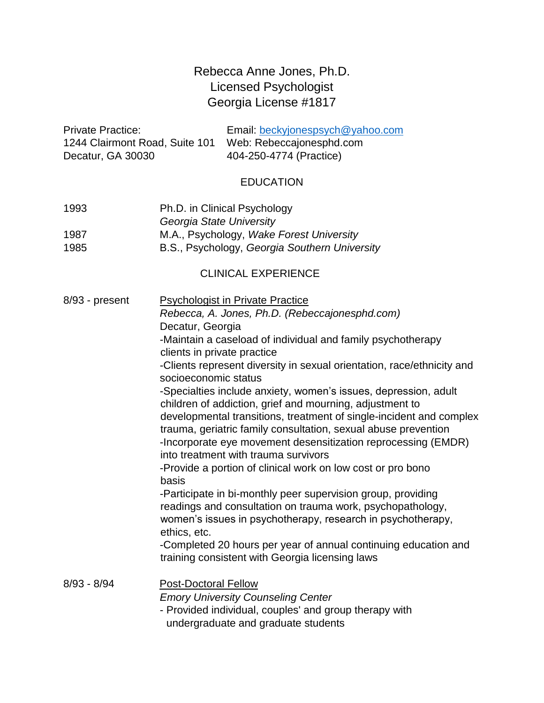# Rebecca Anne Jones, Ph.D. Licensed Psychologist Georgia License #1817

| <b>Private Practice:</b>       | Email: beckyjonespsych@yahoo.com |
|--------------------------------|----------------------------------|
| 1244 Clairmont Road, Suite 101 | Web: Rebeccajonesphd.com         |
| Decatur, GA 30030              | 404-250-4774 (Practice)          |

#### EDUCATION

- 1993 Ph.D. in Clinical Psychology *Georgia State University*  1987 M.A., Psychology, *Wake Forest University*
- 1985 B.S., Psychology, *Georgia Southern University*

#### CLINICAL EXPERIENCE

| 8/93 - present | <b>Psychologist in Private Practice</b><br>Rebecca, A. Jones, Ph.D. (Rebeccajonesphd.com)<br>Decatur, Georgia<br>-Maintain a caseload of individual and family psychotherapy<br>clients in private practice<br>-Clients represent diversity in sexual orientation, race/ethnicity and<br>socioeconomic status<br>-Specialties include anxiety, women's issues, depression, adult<br>children of addiction, grief and mourning, adjustment to<br>developmental transitions, treatment of single-incident and complex<br>trauma, geriatric family consultation, sexual abuse prevention<br>-Incorporate eye movement desensitization reprocessing (EMDR)<br>into treatment with trauma survivors<br>-Provide a portion of clinical work on low cost or pro bono<br>basis<br>-Participate in bi-monthly peer supervision group, providing<br>readings and consultation on trauma work, psychopathology,<br>women's issues in psychotherapy, research in psychotherapy,<br>ethics, etc.<br>-Completed 20 hours per year of annual continuing education and<br>training consistent with Georgia licensing laws |
|----------------|-----------------------------------------------------------------------------------------------------------------------------------------------------------------------------------------------------------------------------------------------------------------------------------------------------------------------------------------------------------------------------------------------------------------------------------------------------------------------------------------------------------------------------------------------------------------------------------------------------------------------------------------------------------------------------------------------------------------------------------------------------------------------------------------------------------------------------------------------------------------------------------------------------------------------------------------------------------------------------------------------------------------------------------------------------------------------------------------------------------|
| $8/93 - 8/94$  | <b>Post-Doctoral Fellow</b><br><b>Emory University Counseling Center</b><br>- Provided individual, couples' and group therapy with<br>undergraduate and graduate students                                                                                                                                                                                                                                                                                                                                                                                                                                                                                                                                                                                                                                                                                                                                                                                                                                                                                                                                 |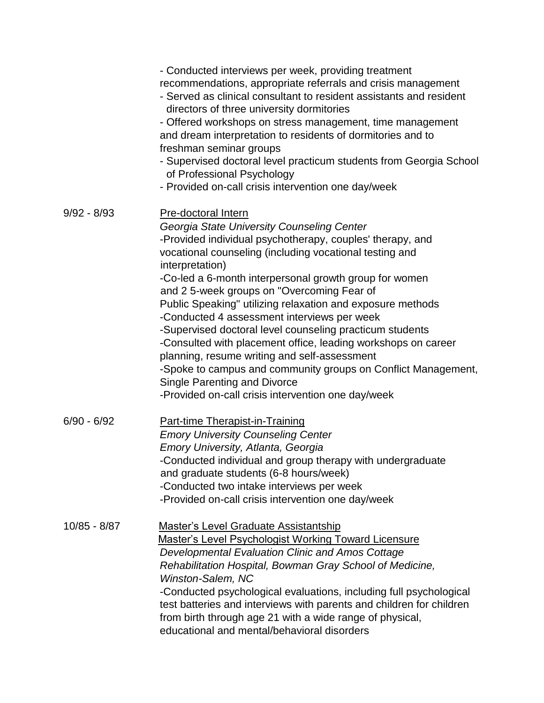|               | - Conducted interviews per week, providing treatment<br>recommendations, appropriate referrals and crisis management<br>- Served as clinical consultant to resident assistants and resident<br>directors of three university dormitories<br>- Offered workshops on stress management, time management<br>and dream interpretation to residents of dormitories and to<br>freshman seminar groups<br>- Supervised doctoral level practicum students from Georgia School<br>of Professional Psychology<br>- Provided on-call crisis intervention one day/week                                                                                                                                                                                                                   |
|---------------|------------------------------------------------------------------------------------------------------------------------------------------------------------------------------------------------------------------------------------------------------------------------------------------------------------------------------------------------------------------------------------------------------------------------------------------------------------------------------------------------------------------------------------------------------------------------------------------------------------------------------------------------------------------------------------------------------------------------------------------------------------------------------|
| $9/92 - 8/93$ | <b>Pre-doctoral Intern</b><br>Georgia State University Counseling Center<br>-Provided individual psychotherapy, couples' therapy, and<br>vocational counseling (including vocational testing and<br>interpretation)<br>-Co-led a 6-month interpersonal growth group for women<br>and 2 5-week groups on "Overcoming Fear of<br>Public Speaking" utilizing relaxation and exposure methods<br>-Conducted 4 assessment interviews per week<br>-Supervised doctoral level counseling practicum students<br>-Consulted with placement office, leading workshops on career<br>planning, resume writing and self-assessment<br>-Spoke to campus and community groups on Conflict Management,<br>Single Parenting and Divorce<br>-Provided on-call crisis intervention one day/week |
| $6/90 - 6/92$ | <b>Part-time Therapist-in-Training</b><br><b>Emory University Counseling Center</b><br>Emory University, Atlanta, Georgia<br>-Conducted individual and group therapy with undergraduate<br>and graduate students (6-8 hours/week)<br>-Conducted two intake interviews per week<br>-Provided on-call crisis intervention one day/week                                                                                                                                                                                                                                                                                                                                                                                                                                         |
| 10/85 - 8/87  | Master's Level Graduate Assistantship<br><b>Master's Level Psychologist Working Toward Licensure</b><br>Developmental Evaluation Clinic and Amos Cottage<br>Rehabilitation Hospital, Bowman Gray School of Medicine,<br>Winston-Salem, NC<br>-Conducted psychological evaluations, including full psychological<br>test batteries and interviews with parents and children for children<br>from birth through age 21 with a wide range of physical,<br>educational and mental/behavioral disorders                                                                                                                                                                                                                                                                           |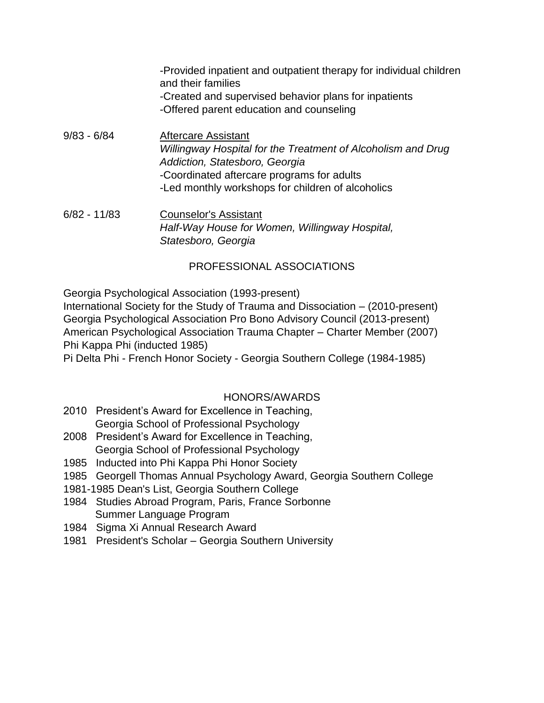-Provided inpatient and outpatient therapy for individual children and their families -Created and supervised behavior plans for inpatients -Offered parent education and counseling

9/83 - 6/84 Aftercare Assistant *Willingway Hospital for the Treatment of Alcoholism and Drug Addiction, Statesboro, Georgia*  -Coordinated aftercare programs for adults -Led monthly workshops for children of alcoholics

6/82 - 11/83 Counselor's Assistant *Half-Way House for Women, Willingway Hospital, Statesboro, Georgia* 

## PROFESSIONAL ASSOCIATIONS

Georgia Psychological Association (1993-present)

International Society for the Study of Trauma and Dissociation – (2010-present) Georgia Psychological Association Pro Bono Advisory Council (2013-present) American Psychological Association Trauma Chapter – Charter Member (2007) Phi Kappa Phi (inducted 1985)

Pi Delta Phi - French Honor Society - Georgia Southern College (1984-1985)

## HONORS/AWARDS

- 2010 President's Award for Excellence in Teaching, Georgia School of Professional Psychology
- 2008 President's Award for Excellence in Teaching, Georgia School of Professional Psychology
- 1985 Inducted into Phi Kappa Phi Honor Society
- 1985 Georgell Thomas Annual Psychology Award, Georgia Southern College
- 1981-1985 Dean's List, Georgia Southern College
- 1984 Studies Abroad Program, Paris, France Sorbonne Summer Language Program
- 1984 Sigma Xi Annual Research Award
- 1981 President's Scholar Georgia Southern University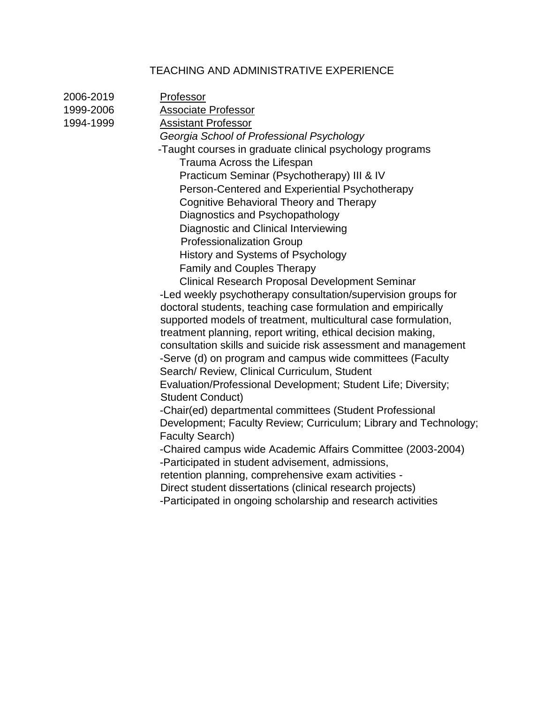## TEACHING AND ADMINISTRATIVE EXPERIENCE

| 2006-2019 | Professor                                                                                |
|-----------|------------------------------------------------------------------------------------------|
| 1999-2006 | Associate Professor                                                                      |
| 1994-1999 | <b>Assistant Professor</b>                                                               |
|           | Georgia School of Professional Psychology                                                |
|           | -Taught courses in graduate clinical psychology programs                                 |
|           | Trauma Across the Lifespan                                                               |
|           | Practicum Seminar (Psychotherapy) III & IV                                               |
|           | Person-Centered and Experiential Psychotherapy                                           |
|           | Cognitive Behavioral Theory and Therapy                                                  |
|           | Diagnostics and Psychopathology                                                          |
|           | Diagnostic and Clinical Interviewing                                                     |
|           | <b>Professionalization Group</b>                                                         |
|           | History and Systems of Psychology                                                        |
|           | <b>Family and Couples Therapy</b>                                                        |
|           | Clinical Research Proposal Development Seminar                                           |
|           | -Led weekly psychotherapy consultation/supervision groups for                            |
|           | doctoral students, teaching case formulation and empirically                             |
|           | supported models of treatment, multicultural case formulation,                           |
|           | treatment planning, report writing, ethical decision making,                             |
|           | consultation skills and suicide risk assessment and management                           |
|           | -Serve (d) on program and campus wide committees (Faculty                                |
|           | Search/ Review, Clinical Curriculum, Student                                             |
|           | Evaluation/Professional Development; Student Life; Diversity;<br><b>Student Conduct)</b> |
|           | -Chair(ed) departmental committees (Student Professional                                 |
|           | Development; Faculty Review; Curriculum; Library and Technology;                         |
|           | <b>Faculty Search)</b>                                                                   |
|           | -Chaired campus wide Academic Affairs Committee (2003-2004)                              |
|           | -Participated in student advisement, admissions,                                         |
|           | retention planning, comprehensive exam activities -                                      |
|           | Direct student dissertations (clinical research projects)                                |
|           | -Participated in ongoing scholarship and research activities                             |
|           |                                                                                          |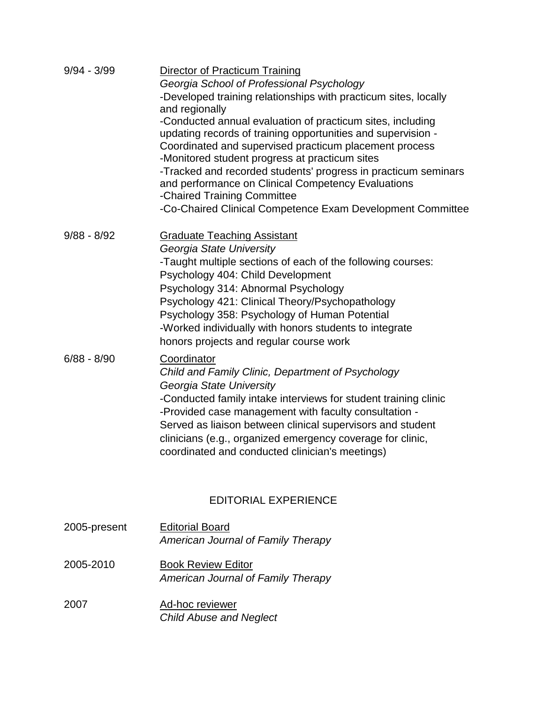| $9/94 - 3/99$ | Director of Practicum Training<br>Georgia School of Professional Psychology<br>-Developed training relationships with practicum sites, locally<br>and regionally<br>-Conducted annual evaluation of practicum sites, including<br>updating records of training opportunities and supervision -<br>Coordinated and supervised practicum placement process<br>-Monitored student progress at practicum sites<br>-Tracked and recorded students' progress in practicum seminars<br>and performance on Clinical Competency Evaluations<br>-Chaired Training Committee<br>-Co-Chaired Clinical Competence Exam Development Committee |
|---------------|---------------------------------------------------------------------------------------------------------------------------------------------------------------------------------------------------------------------------------------------------------------------------------------------------------------------------------------------------------------------------------------------------------------------------------------------------------------------------------------------------------------------------------------------------------------------------------------------------------------------------------|
| $9/88 - 8/92$ | <b>Graduate Teaching Assistant</b><br>Georgia State University<br>-Taught multiple sections of each of the following courses:<br>Psychology 404: Child Development<br>Psychology 314: Abnormal Psychology<br>Psychology 421: Clinical Theory/Psychopathology<br>Psychology 358: Psychology of Human Potential<br>-Worked individually with honors students to integrate<br>honors projects and regular course work                                                                                                                                                                                                              |
| $6/88 - 8/90$ | Coordinator<br>Child and Family Clinic, Department of Psychology<br>Georgia State University<br>-Conducted family intake interviews for student training clinic<br>-Provided case management with faculty consultation -<br>Served as liaison between clinical supervisors and student<br>clinicians (e.g., organized emergency coverage for clinic,<br>coordinated and conducted clinician's meetings)                                                                                                                                                                                                                         |

# EDITORIAL EXPERIENCE

| 2005-present | <b>Editorial Board</b><br>American Journal of Family Therapy    |
|--------------|-----------------------------------------------------------------|
| 2005-2010    | <b>Book Review Editor</b><br>American Journal of Family Therapy |
| 2007         | Ad-hoc reviewer<br><b>Child Abuse and Neglect</b>               |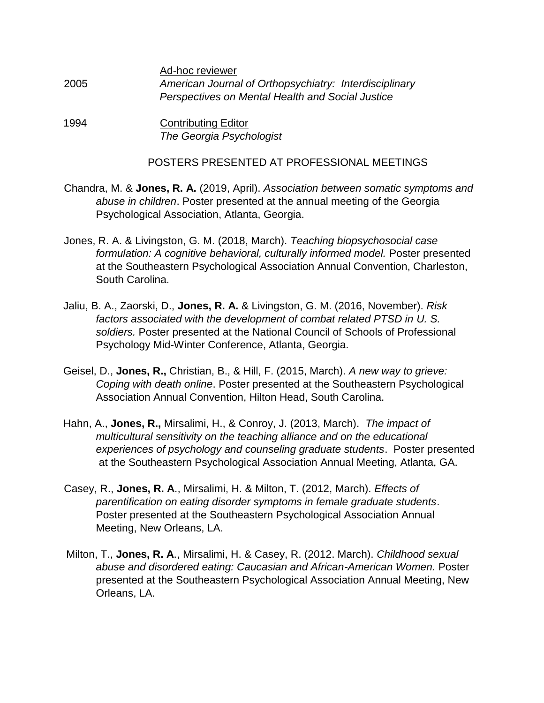| Ad-hoc reviewer                                        |
|--------------------------------------------------------|
| American Journal of Orthopsychiatry: Interdisciplinary |
| Perspectives on Mental Health and Social Justice       |
|                                                        |

1994 Contributing Editor *The Georgia Psychologist* 

#### POSTERS PRESENTED AT PROFESSIONAL MEETINGS

- Chandra, M. & **Jones, R. A.** (2019, April). *Association between somatic symptoms and abuse in children*. Poster presented at the annual meeting of the Georgia Psychological Association, Atlanta, Georgia.
- Jones, R. A. & Livingston, G. M. (2018, March). *Teaching biopsychosocial case formulation: A cognitive behavioral, culturally informed model.* Poster presented at the Southeastern Psychological Association Annual Convention, Charleston, South Carolina.
- Jaliu, B. A., Zaorski, D., **Jones, R. A.** & Livingston, G. M. (2016, November). *Risk factors associated with the development of combat related PTSD in U. S. soldiers.* Poster presented at the National Council of Schools of Professional Psychology Mid-Winter Conference, Atlanta, Georgia.
- Geisel, D., **Jones, R.,** Christian, B., & Hill, F. (2015, March). *A new way to grieve: Coping with death online*. Poster presented at the Southeastern Psychological Association Annual Convention, Hilton Head, South Carolina.
- Hahn, A., **Jones, R.,** Mirsalimi, H., & Conroy, J. (2013, March). *The impact of multicultural sensitivity on the teaching alliance and on the educational experiences of psychology and counseling graduate students*. Poster presented at the Southeastern Psychological Association Annual Meeting, Atlanta, GA.
- Casey, R., **Jones, R. A**., Mirsalimi, H. & Milton, T. (2012, March). *Effects of parentification on eating disorder symptoms in female graduate students*. Poster presented at the Southeastern Psychological Association Annual Meeting, New Orleans, LA.
- Milton, T., **Jones, R. A**., Mirsalimi, H. & Casey, R. (2012. March). *Childhood sexual abuse and disordered eating: Caucasian and African-American Women.* Poster presented at the Southeastern Psychological Association Annual Meeting, New Orleans, LA.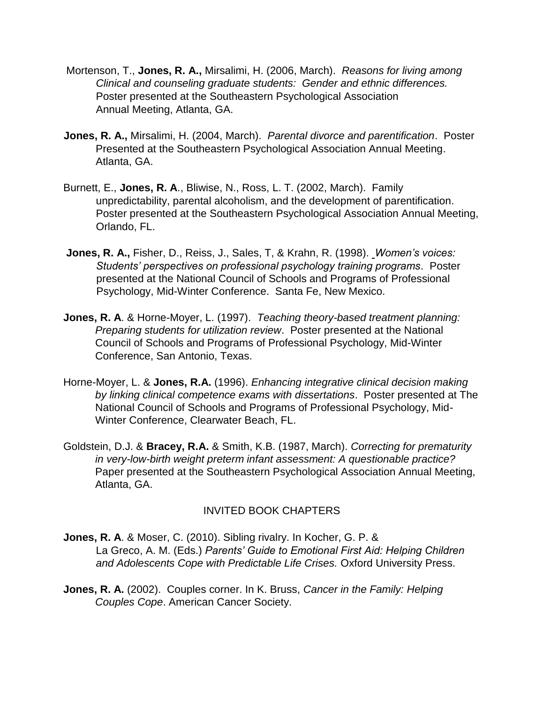- Mortenson, T., **Jones, R. A.,** Mirsalimi, H. (2006, March). *Reasons for living among Clinical and counseling graduate students: Gender and ethnic differences.* Poster presented at the Southeastern Psychological Association Annual Meeting, Atlanta, GA.
- **Jones, R. A.,** Mirsalimi, H. (2004, March). *Parental divorce and parentification*. Poster Presented at the Southeastern Psychological Association Annual Meeting. Atlanta, GA.
- Burnett, E., **Jones, R. A**., Bliwise, N., Ross, L. T. (2002, March). Family unpredictability, parental alcoholism, and the development of parentification. Poster presented at the Southeastern Psychological Association Annual Meeting, Orlando, FL.
- **Jones, R. A.,** Fisher, D., Reiss, J., Sales, T, & Krahn, R. (1998). *Women's voices: Students' perspectives on professional psychology training programs*. Poster presented at the National Council of Schools and Programs of Professional Psychology, Mid-Winter Conference. Santa Fe, New Mexico.
- **Jones, R. A**. & Horne-Moyer, L. (1997). *Teaching theory-based treatment planning: Preparing students for utilization review*. Poster presented at the National Council of Schools and Programs of Professional Psychology, Mid-Winter Conference, San Antonio, Texas.
- Horne-Moyer, L. & **Jones, R.A.** (1996). *Enhancing integrative clinical decision making by linking clinical competence exams with dissertations*. Poster presented at The National Council of Schools and Programs of Professional Psychology, Mid-Winter Conference, Clearwater Beach, FL.
- Goldstein, D.J. & **Bracey, R.A.** & Smith, K.B. (1987, March). *Correcting for prematurity in very-low-birth weight preterm infant assessment: A questionable practice?*  Paper presented at the Southeastern Psychological Association Annual Meeting, Atlanta, GA.

## INVITED BOOK CHAPTERS

- **Jones, R. A**. & Moser, C. (2010). Sibling rivalry. In Kocher, G. P. & La Greco, A. M. (Eds.) *Parents' Guide to Emotional First Aid: Helping Children and Adolescents Cope with Predictable Life Crises.* Oxford University Press.
- **Jones, R. A.** (2002). Couples corner. In K. Bruss, *Cancer in the Family: Helping Couples Cope*. American Cancer Society.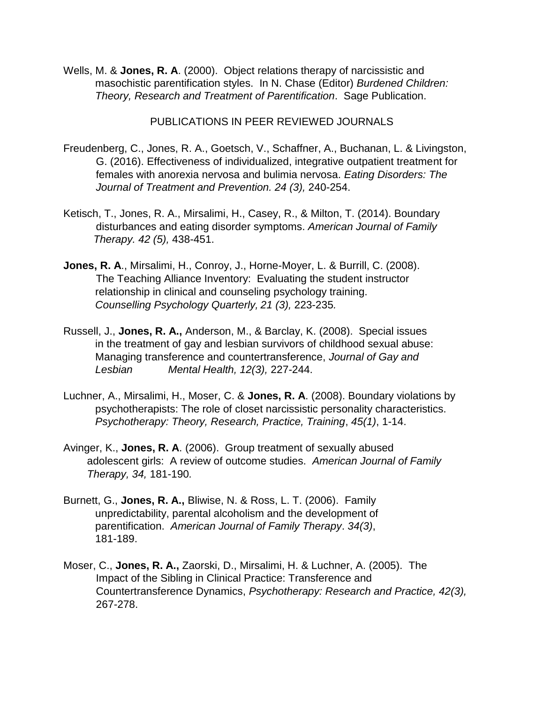Wells, M. & **Jones, R. A**. (2000). Object relations therapy of narcissistic and masochistic parentification styles. In N. Chase (Editor) *Burdened Children: Theory, Research and Treatment of Parentification*. Sage Publication.

PUBLICATIONS IN PEER REVIEWED JOURNALS

- Freudenberg, C., Jones, R. A., Goetsch, V., Schaffner, A., Buchanan, L. & Livingston, G. (2016). Effectiveness of individualized, integrative outpatient treatment for females with anorexia nervosa and bulimia nervosa. *Eating Disorders: The Journal of Treatment and Prevention. 24 (3),* 240-254.
- Ketisch, T., Jones, R. A., Mirsalimi, H., Casey, R., & Milton, T. (2014). Boundary disturbances and eating disorder symptoms. *American Journal of Family Therapy. 42 (5),* 438-451.
- **Jones, R. A**., Mirsalimi, H., Conroy, J., Horne-Moyer, L. & Burrill, C. (2008). The Teaching Alliance Inventory: Evaluating the student instructor relationship in clinical and counseling psychology training. *Counselling Psychology Quarterly, 21 (3),* 223-235*.*
- Russell, J., **Jones, R. A.,** Anderson, M., & Barclay, K. (2008). Special issues in the treatment of gay and lesbian survivors of childhood sexual abuse: Managing transference and countertransference, *Journal of Gay and Lesbian Mental Health, 12(3),* 227-244.
- Luchner, A., Mirsalimi, H., Moser, C. & **Jones, R. A**. (2008). Boundary violations by psychotherapists: The role of closet narcissistic personality characteristics. *Psychotherapy: Theory, Research, Practice, Training*, *45(1)*, 1-14.
- Avinger, K., **Jones, R. A**. (2006). Group treatment of sexually abused adolescent girls: A review of outcome studies. *American Journal of Family Therapy, 34,* 181-190*.*
- Burnett, G., **Jones, R. A.,** Bliwise, N. & Ross, L. T. (2006). Family unpredictability, parental alcoholism and the development of parentification. *American Journal of Family Therapy*. *34(3)*, 181-189.
- Moser, C., **Jones, R. A.,** Zaorski, D., Mirsalimi, H. & Luchner, A. (2005).The Impact of the Sibling in Clinical Practice: Transference and Countertransference Dynamics, *Psychotherapy: Research and Practice, 42(3),*  267-278.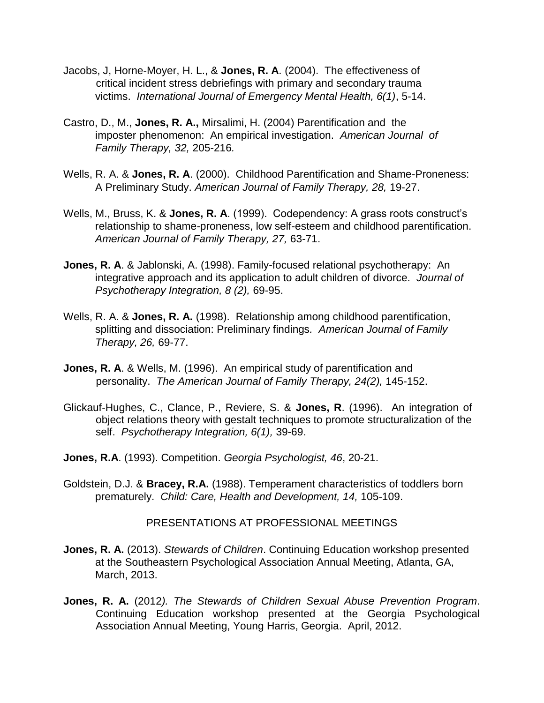- Jacobs, J, Horne-Moyer, H. L., & **Jones, R. A**. (2004). The effectiveness of critical incident stress debriefings with primary and secondary trauma victims. *International Journal of Emergency Mental Health, 6(1)*, 5-14.
- Castro, D., M., **Jones, R. A.,** Mirsalimi, H. (2004) Parentification and the imposter phenomenon: An empirical investigation. *American Journal of Family Therapy, 32,* 205-216*.*
- Wells, R. A. & **Jones, R. A**. (2000). Childhood Parentification and Shame-Proneness: A Preliminary Study. *American Journal of Family Therapy, 28,* 19-27.
- Wells, M., Bruss, K. & **Jones, R. A**. (1999). Codependency: A grass roots construct's relationship to shame-proneness, low self-esteem and childhood parentification. *American Journal of Family Therapy, 27,* 63-71.
- **Jones, R. A**. & Jablonski, A. (1998). Family-focused relational psychotherapy: An integrative approach and its application to adult children of divorce. *Journal of Psychotherapy Integration, 8 (2),* 69-95.
- Wells, R. A. & **Jones, R. A.** (1998). Relationship among childhood parentification, splitting and dissociation: Preliminary findings*. American Journal of Family Therapy, 26,* 69-77.
- **Jones, R. A**. & Wells, M. (1996). An empirical study of parentification and personality. *The American Journal of Family Therapy, 24(2),* 145-152.
- Glickauf-Hughes, C., Clance, P., Reviere, S. & **Jones, R**. (1996). An integration of object relations theory with gestalt techniques to promote structuralization of the self. *Psychotherapy Integration, 6(1),* 39-69.
- **Jones, R.A**. (1993). Competition. *Georgia Psychologist, 46*, 20-21.
- Goldstein, D.J. & **Bracey, R.A.** (1988). Temperament characteristics of toddlers born prematurely. *Child: Care, Health and Development, 14,* 105-109.

#### PRESENTATIONS AT PROFESSIONAL MEETINGS

- **Jones, R. A.** (2013). *Stewards of Children*. Continuing Education workshop presented at the Southeastern Psychological Association Annual Meeting, Atlanta, GA, March, 2013.
- **Jones, R. A.** (2012*). The Stewards of Children Sexual Abuse Prevention Program*. Continuing Education workshop presented at the Georgia Psychological Association Annual Meeting, Young Harris, Georgia. April, 2012.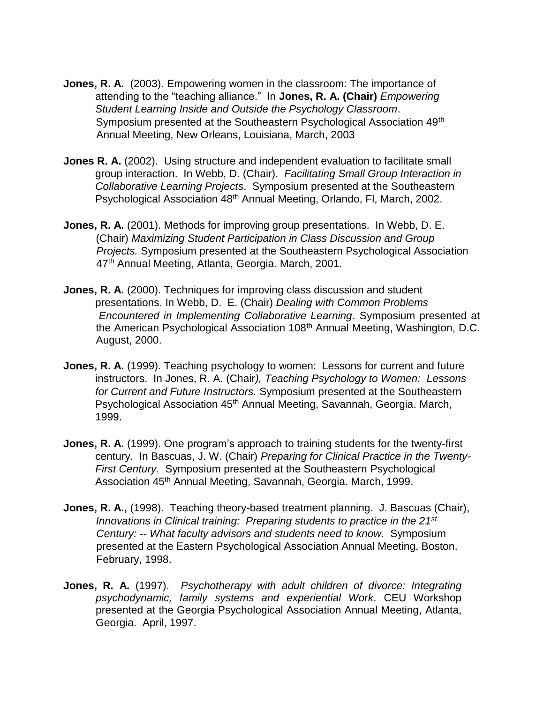- **Jones, R. A.** (2003). Empowering women in the classroom: The importance of attending to the "teaching alliance." In **Jones, R. A. (Chair)** *Empowering Student Learning Inside and Outside the Psychology Classroom*. Symposium presented at the Southeastern Psychological Association 49<sup>th</sup> Annual Meeting, New Orleans, Louisiana, March, 2003
- **Jones R. A.** (2002). Using structure and independent evaluation to facilitate small group interaction. In Webb, D. (Chair). *Facilitating Small Group Interaction in Collaborative Learning Projects*. Symposium presented at the Southeastern Psychological Association 48th Annual Meeting, Orlando, Fl, March, 2002.
- **Jones, R. A.** (2001). Methods for improving group presentations. In Webb, D. E. (Chair) *Maximizing Student Participation in Class Discussion and Group Projects.* Symposium presented at the Southeastern Psychological Association 47<sup>th</sup> Annual Meeting, Atlanta, Georgia. March, 2001.
- **Jones, R. A.** (2000). Techniques for improving class discussion and student presentations. In Webb, D. E. (Chair) *Dealing with Common Problems Encountered in Implementing Collaborative Learning*. Symposium presented at the American Psychological Association 108<sup>th</sup> Annual Meeting, Washington, D.C. August, 2000.
- **Jones, R. A.** (1999). Teaching psychology to women: Lessons for current and future instructors. In Jones, R. A. (Chair*), Teaching Psychology to Women: Lessons for Current and Future Instructors.* Symposium presented at the Southeastern Psychological Association 45<sup>th</sup> Annual Meeting, Savannah, Georgia. March, 1999.
- **Jones, R. A.** (1999). One program's approach to training students for the twenty-first century. In Bascuas, J. W. (Chair) *Preparing for Clinical Practice in the Twenty-First Century.* Symposium presented at the Southeastern Psychological Association 45<sup>th</sup> Annual Meeting, Savannah, Georgia. March, 1999.
- **Jones, R. A.,** (1998). Teaching theory-based treatment planning. J. Bascuas (Chair), *Innovations in Clinical training: Preparing students to practice in the 21st Century: -- What faculty advisors and students need to know.* Symposium presented at the Eastern Psychological Association Annual Meeting, Boston. February, 1998.
- **Jones, R. A.** (1997). *Psychotherapy with adult children of divorce: Integrating psychodynamic, family systems and experiential Work*. CEU Workshop presented at the Georgia Psychological Association Annual Meeting, Atlanta, Georgia. April, 1997.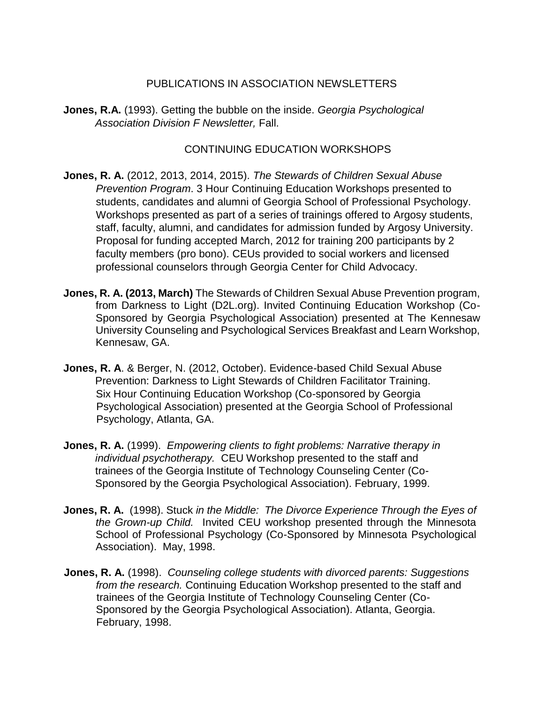## PUBLICATIONS IN ASSOCIATION NEWSLETTERS

**Jones, R.A.** (1993). Getting the bubble on the inside. *Georgia Psychological Association Division F Newsletter,* Fall.

## CONTINUING EDUCATION WORKSHOPS

- **Jones, R. A.** (2012, 2013, 2014, 2015). *The Stewards of Children Sexual Abuse Prevention Program*. 3 Hour Continuing Education Workshops presented to students, candidates and alumni of Georgia School of Professional Psychology. Workshops presented as part of a series of trainings offered to Argosy students, staff, faculty, alumni, and candidates for admission funded by Argosy University. Proposal for funding accepted March, 2012 for training 200 participants by 2 faculty members (pro bono). CEUs provided to social workers and licensed professional counselors through Georgia Center for Child Advocacy.
- **Jones, R. A. (2013, March)** The Stewards of Children Sexual Abuse Prevention program, from Darkness to Light (D2L.org). Invited Continuing Education Workshop (Co-Sponsored by Georgia Psychological Association) presented at The Kennesaw University Counseling and Psychological Services Breakfast and Learn Workshop, Kennesaw, GA.
- **Jones, R. A**. & Berger, N. (2012, October). Evidence-based Child Sexual Abuse Prevention: Darkness to Light Stewards of Children Facilitator Training. Six Hour Continuing Education Workshop (Co-sponsored by Georgia Psychological Association) presented at the Georgia School of Professional Psychology, Atlanta, GA.
- **Jones, R. A.** (1999). *Empowering clients to fight problems: Narrative therapy in individual psychotherapy.* CEU Workshop presented to the staff and trainees of the Georgia Institute of Technology Counseling Center (Co-Sponsored by the Georgia Psychological Association). February, 1999.
- **Jones, R. A.** (1998). Stuck *in the Middle: The Divorce Experience Through the Eyes of the Grown-up Child.* Invited CEU workshop presented through the Minnesota School of Professional Psychology (Co-Sponsored by Minnesota Psychological Association). May, 1998.
- **Jones, R. A.** (1998). *Counseling college students with divorced parents: Suggestions from the research.* Continuing Education Workshop presented to the staff and trainees of the Georgia Institute of Technology Counseling Center (Co-Sponsored by the Georgia Psychological Association). Atlanta, Georgia. February, 1998.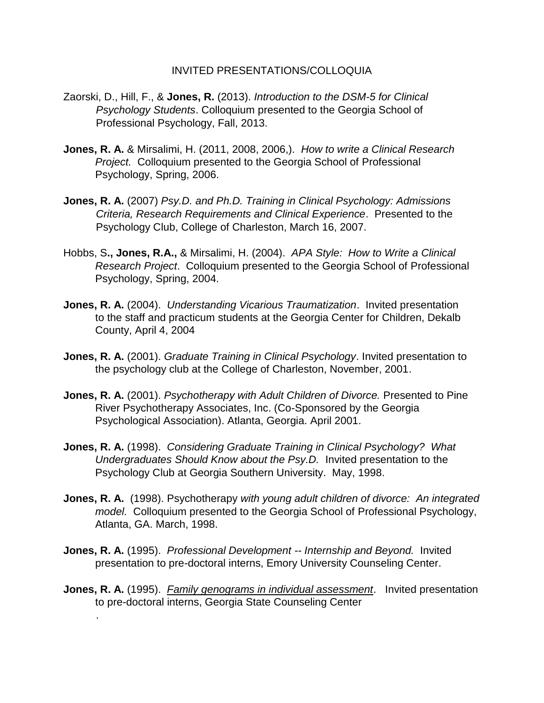#### INVITED PRESENTATIONS/COLLOQUIA

- Zaorski, D., Hill, F., & **Jones, R.** (2013). *Introduction to the DSM-5 for Clinical Psychology Students*. Colloquium presented to the Georgia School of Professional Psychology, Fall, 2013.
- **Jones, R. A.** & Mirsalimi, H. (2011, 2008, 2006,). *How to write a Clinical Research Project.* Colloquium presented to the Georgia School of Professional Psychology, Spring, 2006.
- **Jones, R. A.** (2007) *Psy.D. and Ph.D. Training in Clinical Psychology: Admissions Criteria, Research Requirements and Clinical Experience*. Presented to the Psychology Club, College of Charleston, March 16, 2007.
- Hobbs, S**., Jones, R.A.,** & Mirsalimi, H. (2004). *APA Style: How to Write a Clinical Research Project*. Colloquium presented to the Georgia School of Professional Psychology, Spring, 2004.
- **Jones, R. A.** (2004). *Understanding Vicarious Traumatization*. Invited presentation to the staff and practicum students at the Georgia Center for Children, Dekalb County, April 4, 2004
- **Jones, R. A.** (2001). *Graduate Training in Clinical Psychology*. Invited presentation to the psychology club at the College of Charleston, November, 2001.
- **Jones, R. A.** (2001). *Psychotherapy with Adult Children of Divorce.* Presented to Pine River Psychotherapy Associates, Inc. (Co-Sponsored by the Georgia Psychological Association). Atlanta, Georgia. April 2001.
- **Jones, R. A.** (1998). *Considering Graduate Training in Clinical Psychology? What Undergraduates Should Know about the Psy.D.* Invited presentation to the Psychology Club at Georgia Southern University. May, 1998.
- **Jones, R. A.** (1998). Psychotherapy *with young adult children of divorce: An integrated model.* Colloquium presented to the Georgia School of Professional Psychology, Atlanta, GA. March, 1998.
- **Jones, R. A.** (1995). *Professional Development -- Internship and Beyond.* Invited presentation to pre-doctoral interns, Emory University Counseling Center.

.

**Jones, R. A.** (1995). *Family genograms in individual assessment*. Invited presentation to pre-doctoral interns, Georgia State Counseling Center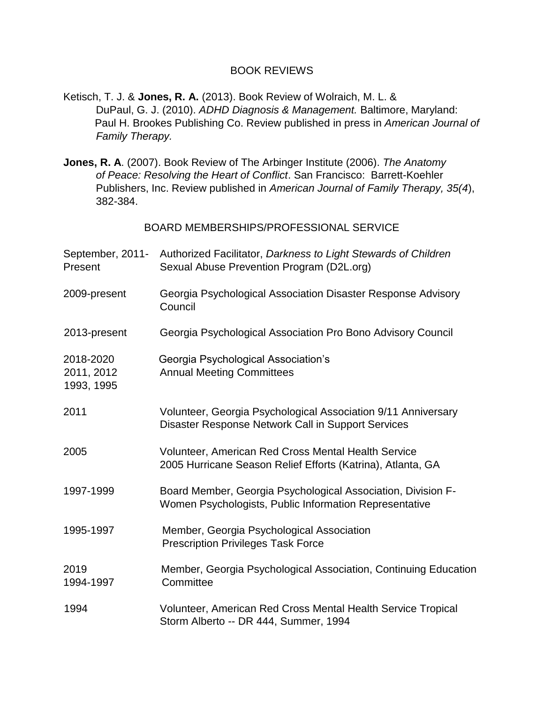#### BOOK REVIEWS

- Ketisch, T. J. & **Jones, R. A.** (2013). Book Review of Wolraich, M. L. & DuPaul, G. J. (2010). *ADHD Diagnosis & Management.* Baltimore, Maryland: Paul H. Brookes Publishing Co. Review published in press in *American Journal of Family Therapy.*
- **Jones, R. A**. (2007). Book Review of The Arbinger Institute (2006). *The Anatomy of Peace: Resolving the Heart of Conflict*. San Francisco: Barrett-Koehler Publishers, Inc. Review published in *American Journal of Family Therapy, 35(4*), 382-384.

BOARD MEMBERSHIPS/PROFESSIONAL SERVICE

| September, 2011-<br>Present           | Authorized Facilitator, Darkness to Light Stewards of Children<br>Sexual Abuse Prevention Program (D2L.org)            |
|---------------------------------------|------------------------------------------------------------------------------------------------------------------------|
| 2009-present                          | Georgia Psychological Association Disaster Response Advisory<br>Council                                                |
| 2013-present                          | Georgia Psychological Association Pro Bono Advisory Council                                                            |
| 2018-2020<br>2011, 2012<br>1993, 1995 | Georgia Psychological Association's<br><b>Annual Meeting Committees</b>                                                |
| 2011                                  | Volunteer, Georgia Psychological Association 9/11 Anniversary<br>Disaster Response Network Call in Support Services    |
| 2005                                  | Volunteer, American Red Cross Mental Health Service<br>2005 Hurricane Season Relief Efforts (Katrina), Atlanta, GA     |
| 1997-1999                             | Board Member, Georgia Psychological Association, Division F-<br>Women Psychologists, Public Information Representative |
| 1995-1997                             | Member, Georgia Psychological Association<br><b>Prescription Privileges Task Force</b>                                 |
| 2019<br>1994-1997                     | Member, Georgia Psychological Association, Continuing Education<br>Committee                                           |
| 1994                                  | Volunteer, American Red Cross Mental Health Service Tropical<br>Storm Alberto -- DR 444, Summer, 1994                  |